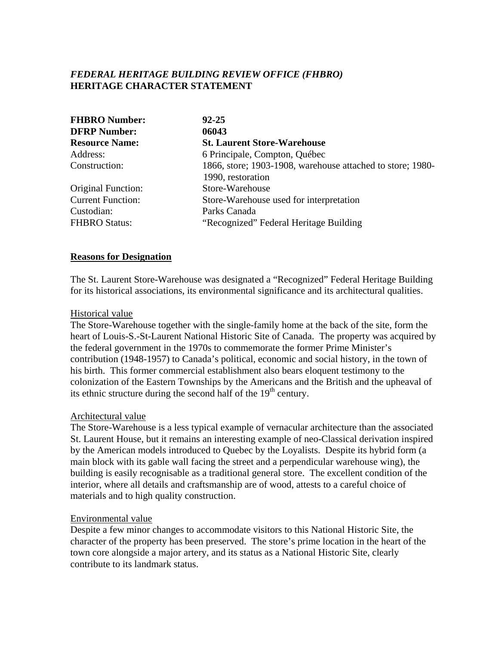# *FEDERAL HERITAGE BUILDING REVIEW OFFICE (FHBRO)* **HERITAGE CHARACTER STATEMENT**

| <b>FHBRO Number:</b>      | $92 - 25$                                                  |
|---------------------------|------------------------------------------------------------|
| <b>DFRP Number:</b>       | 06043                                                      |
| <b>Resource Name:</b>     | <b>St. Laurent Store-Warehouse</b>                         |
| Address:                  | 6 Principale, Compton, Québec                              |
| Construction:             | 1866, store; 1903-1908, warehouse attached to store; 1980- |
|                           | 1990, restoration                                          |
| <b>Original Function:</b> | Store-Warehouse                                            |
| <b>Current Function:</b>  | Store-Warehouse used for interpretation                    |
| Custodian:                | Parks Canada                                               |
| <b>FHBRO Status:</b>      | "Recognized" Federal Heritage Building                     |

### **Reasons for Designation**

The St. Laurent Store-Warehouse was designated a "Recognized" Federal Heritage Building for its historical associations, its environmental significance and its architectural qualities.

#### Historical value

The Store-Warehouse together with the single-family home at the back of the site, form the heart of Louis-S.-St-Laurent National Historic Site of Canada. The property was acquired by the federal government in the 1970s to commemorate the former Prime Minister's contribution (1948-1957) to Canada's political, economic and social history, in the town of his birth. This former commercial establishment also bears eloquent testimony to the colonization of the Eastern Townships by the Americans and the British and the upheaval of its ethnic structure during the second half of the  $19<sup>th</sup>$  century.

#### Architectural value

The Store-Warehouse is a less typical example of vernacular architecture than the associated St. Laurent House, but it remains an interesting example of neo-Classical derivation inspired by the American models introduced to Quebec by the Loyalists. Despite its hybrid form (a main block with its gable wall facing the street and a perpendicular warehouse wing), the building is easily recognisable as a traditional general store. The excellent condition of the interior, where all details and craftsmanship are of wood, attests to a careful choice of materials and to high quality construction.

#### Environmental value

Despite a few minor changes to accommodate visitors to this National Historic Site, the character of the property has been preserved. The store's prime location in the heart of the town core alongside a major artery, and its status as a National Historic Site, clearly contribute to its landmark status.